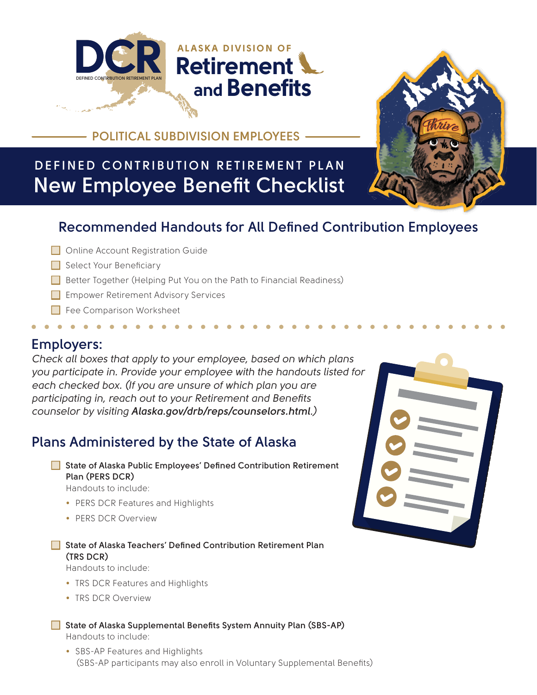

**POLITICAL SUBDIVISION EMPLOYEES**

# **DEFINED CONTRIBUTION RETIREMENT PLAN New Employee Benefit Checklist**



- **Online Account Registration Guide**
- Select Your Beneficiary
- Better Together (Helping Put You on the Path to Financial Readiness)
- **Empower Retirement Advisory Services**
- $\Box$  Fee Comparison Worksheet

 $\begin{array}{cccccccccccccc} \bullet & \bullet & \bullet & \bullet & \bullet & \bullet & \bullet \end{array}$ 

### **Employers:**

*Check all boxes that apply to your employee, based on which plans you participate in. Provide your employee with the handouts listed for each checked box. (If you are unsure of which plan you are participating in, reach out to your Retirement and Benefits counselor by visiting Alaska.gov/drb/reps/counselors.html.)*

## **Plans Administered by the State of Alaska**

 **State of Alaska Public Employees' Defined Contribution Retirement Plan (PERS DCR)**

Handouts to include:

- PERS DCR Features and Highlights
- PERS DCR Overview

#### **State of Alaska Teachers' Defined Contribution Retirement Plan (TRS DCR)**

Handouts to include:

- TRS DCR Features and Highlights
- TRS DCR Overview

 **State of Alaska Supplemental Benefits System Annuity Plan (SBS-AP)** Handouts to include:

• SBS-AP Features and Highlights (SBS-AP participants may also enroll in Voluntary Supplemental Benefits)